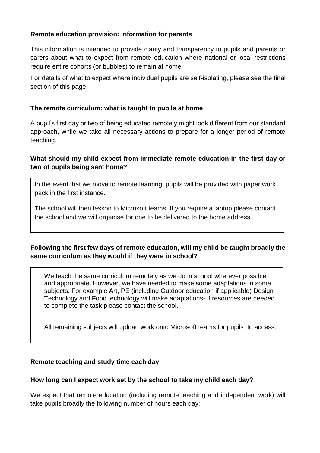### **Remote education provision: information for parents**

This information is intended to provide clarity and transparency to pupils and parents or carers about what to expect from remote education where national or local restrictions require entire cohorts (or bubbles) to remain at home.

For details of what to expect where individual pupils are self-isolating, please see the final section of this page.

### **The remote curriculum: what is taught to pupils at home**

A pupil's first day or two of being educated remotely might look different from our standard approach, while we take all necessary actions to prepare for a longer period of remote teaching.

## **What should my child expect from immediate remote education in the first day or two of pupils being sent home?**

In the event that we move to remote learning, pupils will be provided with paper work pack in the first instance.

The school will then lesson to Microsoft teams. If you require a laptop please contact the school and we will organise for one to be delivered to the home address.

# **Following the first few days of remote education, will my child be taught broadly the same curriculum as they would if they were in school?**

We teach the same curriculum remotely as we do in school wherever possible and appropriate. However, we have needed to make some adaptations in some subjects. For example Art, PE (including Outdoor education if applicable) Design Technology and Food technology will make adaptations- if resources are needed to complete the task please contact the school.

All remaining subjects will upload work onto Microsoft teams for pupils to access.

#### **Remote teaching and study time each day**

#### **How long can I expect work set by the school to take my child each day?**

We expect that remote education (including remote teaching and independent work) will take pupils broadly the following number of hours each day: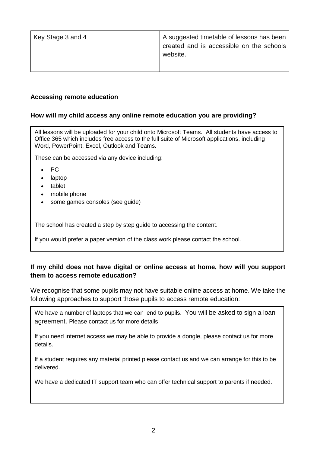| Key Stage 3 and 4 | A suggested timetable of lessons has been<br>created and is accessible on the schools  <br>website. |
|-------------------|-----------------------------------------------------------------------------------------------------|
|                   |                                                                                                     |

#### **Accessing remote education**

### **How will my child access any online remote education you are providing?**

All lessons will be uploaded for your child onto Microsoft Teams. All students have access to Office 365 which includes free access to the full suite of Microsoft applications, including Word, PowerPoint, Excel, Outlook and Teams.

These can be accessed via any device including:

- PC
- laptop
- tablet
- mobile phone
- some games consoles (see guide)

The school has created a step by step guide to accessing the content.

If you would prefer a paper version of the class work please contact the school.

## **If my child does not have digital or online access at home, how will you support them to access remote education?**

We recognise that some pupils may not have suitable online access at home. We take the following approaches to support those pupils to access remote education:

We have a number of laptops that we can lend to pupils. You will be asked to sign a loan agreement. Please contact us for more details

If you need internet access we may be able to provide a dongle, please contact us for more details.

If a student requires any material printed please contact us and we can arrange for this to be delivered.

We have a dedicated IT support team who can offer technical support to parents if needed.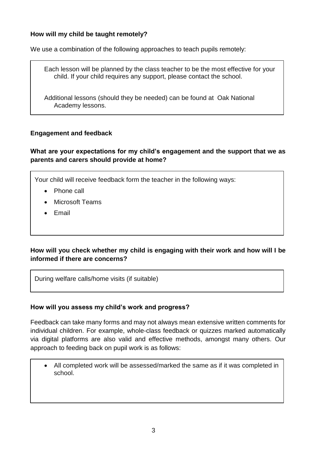### **How will my child be taught remotely?**

We use a combination of the following approaches to teach pupils remotely:

Each lesson will be planned by the class teacher to be the most effective for your child. If your child requires any support, please contact the school.

Additional lessons (should they be needed) can be found at Oak National Academy lessons.

### **Engagement and feedback**

### **What are your expectations for my child's engagement and the support that we as parents and carers should provide at home?**

Your child will receive feedback form the teacher in the following ways:

- Phone call
- Microsoft Teams
- Email

## **How will you check whether my child is engaging with their work and how will I be informed if there are concerns?**

During welfare calls/home visits (if suitable)

#### **How will you assess my child's work and progress?**

Feedback can take many forms and may not always mean extensive written comments for individual children. For example, whole-class feedback or quizzes marked automatically via digital platforms are also valid and effective methods, amongst many others. Our approach to feeding back on pupil work is as follows:

 All completed work will be assessed/marked the same as if it was completed in school.